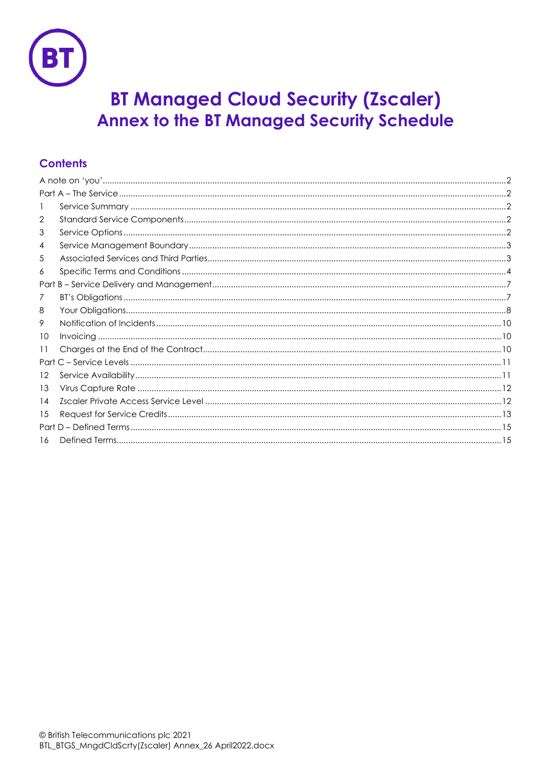

# **BT Managed Cloud Security (Zscaler) Annex to the BT Managed Security Schedule**

# **Contents**

| 2  |  |  |  |
|----|--|--|--|
| 3  |  |  |  |
| 4  |  |  |  |
| 5  |  |  |  |
| 6  |  |  |  |
|    |  |  |  |
| 7  |  |  |  |
| 8  |  |  |  |
| 9  |  |  |  |
| 10 |  |  |  |
| 11 |  |  |  |
|    |  |  |  |
| 12 |  |  |  |
| 13 |  |  |  |
| 14 |  |  |  |
| 15 |  |  |  |
|    |  |  |  |
| 16 |  |  |  |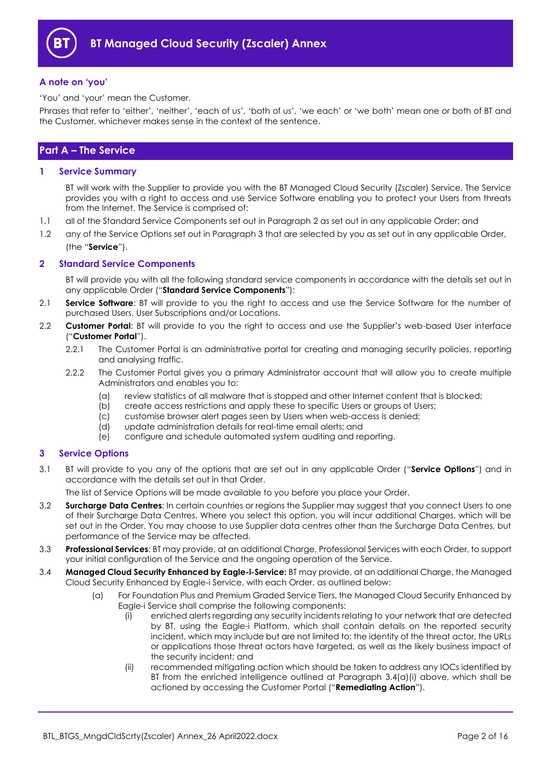

## <span id="page-1-0"></span>**A note on 'you'**

'You' and 'your' mean the Customer.

Phrases that refer to 'either', 'neither', 'each of us', 'both of us', 'we each' or 'we both' mean one or both of BT and the Customer, whichever makes sense in the context of the sentence.

## <span id="page-1-1"></span>**Part A – The Service**

## <span id="page-1-2"></span>**1 Service Summary**

BT will work with the Supplier to provide you with the BT Managed Cloud Security (Zscaler) Service. The Service provides you with a right to access and use Service Software enabling you to protect your Users from threats from the Internet. The Service is comprised of:

- 1.1 all of the Standard Service Components set out in Paragrap[h 2](#page-1-3) as set out in any applicable Order; and
- 1.2 any of the Service Options set out in Paragraph [3](#page-1-4) that are selected by you as set out in any applicable Order, (the "**Service**").

## <span id="page-1-3"></span>**2 Standard Service Components**

BT will provide you with all the following standard service components in accordance with the details set out in any applicable Order ("**Standard Service Components**"):

- 2.1 **Service Software**: BT will provide to you the right to access and use the Service Software for the number of purchased Users, User Subscriptions and/or Locations.
- <span id="page-1-7"></span><span id="page-1-6"></span>2.2 **Customer Portal**: BT will provide to you the right to access and use the Supplier's web-based User interface ("**Customer Portal**").
	- 2.2.1 The Customer Portal is an administrative portal for creating and managing security policies, reporting and analysing traffic.
	- 2.2.2 The Customer Portal gives you a primary Administrator account that will allow you to create multiple Administrators and enables you to:
		- (a) review statistics of all malware that is stopped and other Internet content that is blocked;
		- (b) create access restrictions and apply these to specific Users or groups of Users;
		- (c) customise browser alert pages seen by Users when web-access is denied;
		- (d) update administration details for real-time email alerts; and
		- (e) configure and schedule automated system auditing and reporting.

## <span id="page-1-4"></span>**3 Service Options**

3.1 BT will provide to you any of the options that are set out in any applicable Order ("**Service Options**") and in accordance with the details set out in that Order.

<span id="page-1-8"></span>The list of Service Options will be made available to you before you place your Order.

- 3.2 **Surcharge Data Centres**: In certain countries or regions the Supplier may suggest that you connect Users to one of their Surcharge Data Centres. Where you select this option, you will incur additional Charges, which will be set out in the Order. You may choose to use Supplier data centres other than the Surcharge Data Centres, but performance of the Service may be affected.
- 3.3 **Professional Services**: BT may provide, at an additional Charge, Professional Services with each Order, to support your initial configuration of the Service and the ongoing operation of the Service.
- <span id="page-1-9"></span><span id="page-1-5"></span>3.4 **Managed Cloud Security Enhanced by Eagle-i-Service:** BT may provide, at an additional Charge, the Managed Cloud Security Enhanced by Eagle-i Service, with each Order, as outlined below:
	- (a) For Foundation Plus and Premium Graded Service Tiers, the Managed Cloud Security Enhanced by Eagle-i Service shall comprise the following components:
		- (i) enriched alerts regarding any security incidents relating to your network that are detected by BT, using the Eagle-i Platform, which shall contain details on the reported security incident, which may include but are not limited to: the identity of the threat actor, the URLs or applications those threat actors have targeted, as well as the likely business impact of the security incident; and
		- (ii) recommended mitigating action which should be taken to address any IOCs identified by BT from the enriched intelligence outlined at Paragraph 3.4(a[\)\(i\)](#page-1-5) above, which shall be actioned by accessing the Customer Portal ("**Remediating Action**").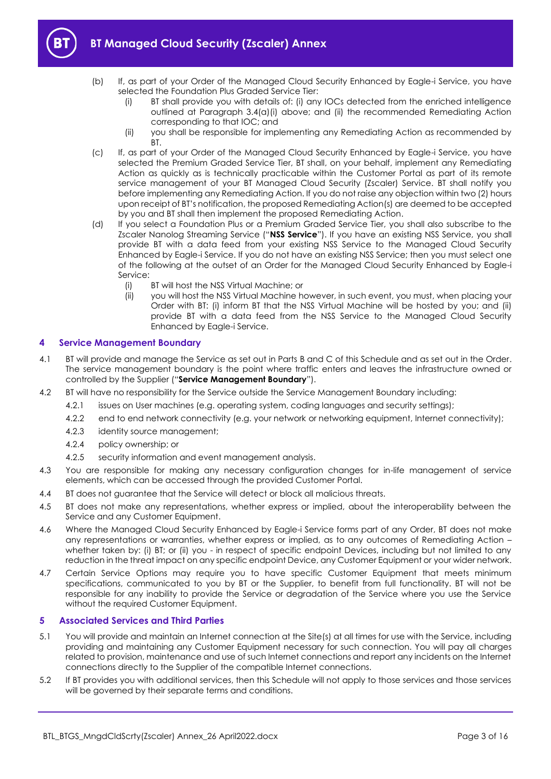

- 
- (b) If, as part of your Order of the Managed Cloud Security Enhanced by Eagle-i Service, you have selected the Foundation Plus Graded Service Tier:
	- (i) BT shall provide you with details of: (i) any IOCs detected from the enriched intelligence outlined at Paragraph 3.[4\(a\)\(i\)](#page-1-5) above; and (ii) the recommended Remediating Action corresponding to that IOC; and
	- (ii) you shall be responsible for implementing any Remediating Action as recommended by BT.
- <span id="page-2-3"></span>(c) If, as part of your Order of the Managed Cloud Security Enhanced by Eagle-i Service, you have selected the Premium Graded Service Tier, BT shall, on your behalf, implement any Remediating Action as quickly as is technically practicable within the Customer Portal as part of its remote service management of your BT Managed Cloud Security (Zscaler) Service. BT shall notify you before implementing any Remediating Action. If you do not raise any objection within two (2) hours upon receipt of BT's notification, the proposed Remediating Action(s) are deemed to be accepted by you and BT shall then implement the proposed Remediating Action.
- <span id="page-2-4"></span>(d) If you select a Foundation Plus or a Premium Graded Service Tier, you shall also subscribe to the Zscaler Nanolog Streaming Service ("**NSS Service**"). If you have an existing NSS Service, you shall provide BT with a data feed from your existing NSS Service to the Managed Cloud Security Enhanced by Eagle-i Service. If you do not have an existing NSS Service; then you must select one of the following at the outset of an Order for the Managed Cloud Security Enhanced by Eagle-i Service:
	- (i) BT will host the NSS Virtual Machine; or
	- (ii) you will host the NSS Virtual Machine however, in such event, you must, when placing your Order with BT: (i) inform BT that the NSS Virtual Machine will be hosted by you; and (ii) provide BT with a data feed from the NSS Service to the Managed Cloud Security Enhanced by Eagle-i Service.

## <span id="page-2-0"></span>**4 Service Management Boundary**

- <span id="page-2-5"></span>4.1 BT will provide and manage the Service as set out in Parts B and C of this Schedule and as set out in the Order. The service management boundary is the point where traffic enters and leaves the infrastructure owned or controlled by the Supplier ("**Service Management Boundary**").
- 4.2 BT will have no responsibility for the Service outside the Service Management Boundary including:
	- 4.2.1 issues on User machines (e.g. operating system, coding languages and security settings);
	- 4.2.2 end to end network connectivity (e.g. your network or networking equipment, Internet connectivity);
	- 4.2.3 identity source management;
	- 4.2.4 policy ownership; or
	- 4.2.5 security information and event management analysis.
- <span id="page-2-2"></span>4.3 You are responsible for making any necessary configuration changes for in-life management of service elements, which can be accessed through the provided Customer Portal.
- 4.4 BT does not guarantee that the Service will detect or block all malicious threats.
- 4.5 BT does not make any representations, whether express or implied, about the interoperability between the Service and any Customer Equipment.
- 4.6 Where the Managed Cloud Security Enhanced by Eagle-i Service forms part of any Order, BT does not make any representations or warranties, whether express or implied, as to any outcomes of Remediating Action – whether taken by: (i) BT; or (ii) you - in respect of specific endpoint Devices, including but not limited to any reduction in the threat impact on any specific endpoint Device, any Customer Equipment or your wider network.
- 4.7 Certain Service Options may require you to have specific Customer Equipment that meets minimum specifications, communicated to you by BT or the Supplier, to benefit from full functionality. BT will not be responsible for any inability to provide the Service or degradation of the Service where you use the Service without the required Customer Equipment.

## <span id="page-2-1"></span>**5 Associated Services and Third Parties**

- 5.1 You will provide and maintain an Internet connection at the Site(s) at all times for use with the Service, including providing and maintaining any Customer Equipment necessary for such connection. You will pay all charges related to provision, maintenance and use of such Internet connections and report any incidents on the Internet connections directly to the Supplier of the compatible Internet connections.
- 5.2 If BT provides you with additional services, then this Schedule will not apply to those services and those services will be governed by their separate terms and conditions.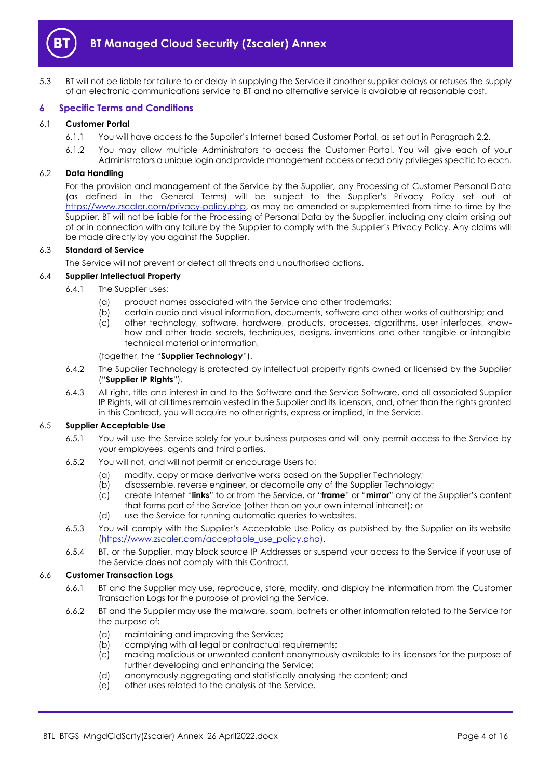

5.3 BT will not be liable for failure to or delay in supplying the Service if another supplier delays or refuses the supply of an electronic communications service to BT and no alternative service is available at reasonable cost.

## <span id="page-3-0"></span>**6 Specific Terms and Conditions**

#### <span id="page-3-1"></span>6.1 **Customer Portal**

- 6.1.1 You will have access to the Supplier's Internet based Customer Portal, as set out in Paragraph [2.2.](#page-1-6)
- 6.1.2 You may allow multiple Administrators to access the Customer Portal. You will give each of your Administrators a unique login and provide management access or read only privileges specific to each.

#### <span id="page-3-2"></span>6.2 **Data Handling**

For the provision and management of the Service by the Supplier, any Processing of Customer Personal Data (as defined in the General Terms) will be subject to the Supplier's Privacy Policy set out at [https://www.zscaler.com/privacy-policy.php,](https://www.zscaler.com/privacy-policy.php) as may be amended or supplemented from time to time by the Supplier. BT will not be liable for the Processing of Personal Data by the Supplier, including any claim arising out of or in connection with any failure by the Supplier to comply with the Supplier's Privacy Policy. Any claims will be made directly by you against the Supplier.

## 6.3 **Standard of Service**

The Service will not prevent or detect all threats and unauthorised actions.

## <span id="page-3-4"></span>6.4 **Supplier Intellectual Property**

- 6.4.1 The Supplier uses:
	- (a) product names associated with the Service and other trademarks;
	- (b) certain audio and visual information, documents, software and other works of authorship; and
	- (c) other technology, software, hardware, products, processes, algorithms, user interfaces, knowhow and other trade secrets, techniques, designs, inventions and other tangible or intangible technical material or information,

#### (together, the "**Supplier Technology**").

- <span id="page-3-3"></span>6.4.2 The Supplier Technology is protected by intellectual property rights owned or licensed by the Supplier ("**Supplier IP Rights**").
- 6.4.3 All right, title and interest in and to the Software and the Service Software, and all associated Supplier IP Rights, will at all times remain vested in the Supplier and its licensors, and, other than the rights granted in this Contract, you will acquire no other rights, express or implied, in the Service.

## 6.5 **Supplier Acceptable Use**

- 6.5.1 You will use the Service solely for your business purposes and will only permit access to the Service by your employees, agents and third parties.
- 6.5.2 You will not, and will not permit or encourage Users to:
	- (a) modify, copy or make derivative works based on the Supplier Technology;
	- (b) disassemble, reverse engineer, or decompile any of the Supplier Technology;
	- (c) create Internet "**links**" to or from the Service, or "**frame**" or "**mirror**" any of the Supplier's content that forms part of the Service (other than on your own internal intranet); or
	- (d) use the Service for running automatic queries to websites.
- 6.5.3 You will comply with the Supplier's Acceptable Use Policy as published by the Supplier on its website [\(https://www.zscaler.com/acceptable\\_use\\_policy.php\)](https://www.zscaler.com/acceptable_use_policy.php).
- 6.5.4 BT, or the Supplier, may block source IP Addresses or suspend your access to the Service if your use of the Service does not comply with this Contract.

## 6.6 **Customer Transaction Logs**

- 6.6.1 BT and the Supplier may use, reproduce, store, modify, and display the information from the Customer Transaction Logs for the purpose of providing the Service.
- 6.6.2 BT and the Supplier may use the malware, spam, botnets or other information related to the Service for the purpose of:
	- (a) maintaining and improving the Service;
	- (b) complying with all legal or contractual requirements;
	- (c) making malicious or unwanted content anonymously available to its licensors for the purpose of further developing and enhancing the Service;
	- (d) anonymously aggregating and statistically analysing the content; and
	- (e) other uses related to the analysis of the Service.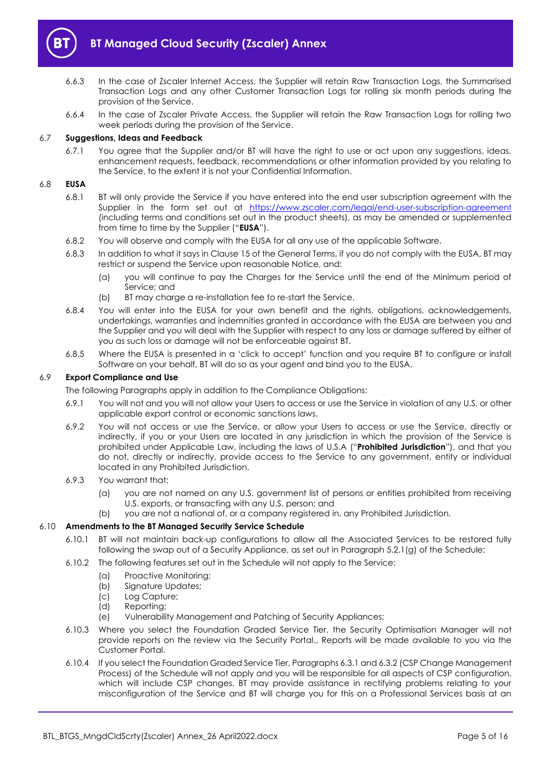

- 6.6.3 In the case of Zscaler Internet Access, the Supplier will retain Raw Transaction Logs, the Summarised Transaction Logs and any other Customer Transaction Logs for rolling six month periods during the provision of the Service.
- 6.6.4 In the case of Zscaler Private Access, the Supplier will retain the Raw Transaction Logs for rolling two week periods during the provision of the Service.

## 6.7 **Suggestions, Ideas and Feedback**

6.7.1 You agree that the Supplier and/or BT will have the right to use or act upon any suggestions, ideas, enhancement requests, feedback, recommendations or other information provided by you relating to the Service, to the extent it is not your Confidential Information.

#### 6.8 **EUSA**

- 6.8.1 BT will only provide the Service if you have entered into the end user subscription agreement with the Supplier in the form set out at <https://www.zscaler.com/legal/end-user-subscription-agreement> (including terms and conditions set out in the product sheets), as may be amended or supplemented from time to time by the Supplier ("**EUSA**").
- 6.8.2 You will observe and comply with the EUSA for all any use of the applicable Software.
- 6.8.3 In addition to what it says in Clause 15 of the General Terms, if you do not comply with the EUSA, BT may restrict or suspend the Service upon reasonable Notice, and:
	- (a) you will continue to pay the Charges for the Service until the end of the Minimum period of Service; and
	- (b) BT may charge a re-installation fee to re-start the Service.
- 6.8.4 You will enter into the EUSA for your own benefit and the rights, obligations, acknowledgements, undertakings, warranties and indemnities granted in accordance with the EUSA are between you and the Supplier and you will deal with the Supplier with respect to any loss or damage suffered by either of you as such loss or damage will not be enforceable against BT.
- 6.8.5 Where the EUSA is presented in a 'click to accept' function and you require BT to configure or install Software on your behalf, BT will do so as your agent and bind you to the EUSA.

#### 6.9 **Export Compliance and Use**

The following Paragraphs apply in addition to the Compliance Obligations:

- 6.9.1 You will not and you will not allow your Users to access or use the Service in violation of any U.S. or other applicable export control or economic sanctions laws.
- <span id="page-4-1"></span>6.9.2 You will not access or use the Service, or allow your Users to access or use the Service, directly or indirectly, if you or your Users are located in any jurisdiction in which the provision of the Service is prohibited under Applicable Law, including the laws of U.S.A ("**Prohibited Jurisdiction**"), and that you do not, directly or indirectly, provide access to the Service to any government, entity or individual located in any Prohibited Jurisdiction.
- 6.9.3 You warrant that:
	- (a) you are not named on any U.S. government list of persons or entities prohibited from receiving U.S. exports, or transacting with any U.S. person; and
	- (b) you are not a national of, or a company registered in, any Prohibited Jurisdiction.

## 6.10 **Amendments to the BT Managed Security Service Schedule**

- 6.10.1 BT will not maintain back-up configurations to allow all the Associated Services to be restored fully following the swap out of a Security Appliance, as set out in Paragraph 5.2.1(g) of the Schedule;
- 6.10.2 The following features set out in the Schedule will not apply to the Service:
	- (a) Proactive Monitoring;
	- (b) Signature Updates;
	- (c) Log Capture;
	- (d) Reporting;
	- (e) Vulnerability Management and Patching of Security Appliances;
- 6.10.3 Where you select the Foundation Graded Service Tier, the Security Optimisation Manager will not provide reports on the review via the Security Portal., Reports will be made available to you via the Customer Portal.
- <span id="page-4-0"></span>6.10.4 If you select the Foundation Graded Service Tier, Paragraphs 6.3.1 and 6.3.2 (CSP Change Management Process) of the Schedule will not apply and you will be responsible for all aspects of CSP configuration, which will include CSP changes. BT may provide assistance in rectifying problems relating to your misconfiguration of the Service and BT will charge you for this on a Professional Services basis at an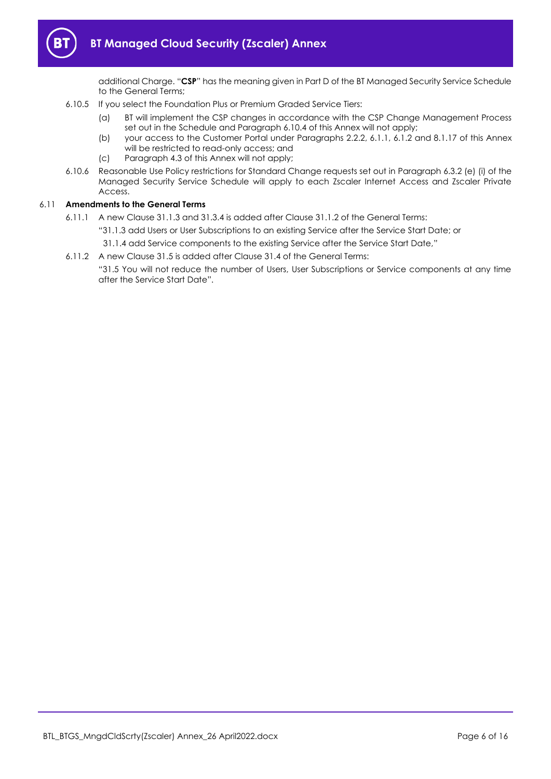

additional Charge. "**CSP**" has the meaning given in Part D of the BT Managed Security Service Schedule to the General Terms;

- 6.10.5 If you select the Foundation Plus or Premium Graded Service Tiers:
	- (a) BT will implement the CSP changes in accordance with the CSP Change Management Process set out in the Schedule and Paragraph [6.10.4](#page-4-0) of this Annex will not apply;
	- (b) your access to the Customer Portal under Paragraphs [2.2.2,](#page-1-7) [6.1.1,](#page-3-1) [6.1.2](#page-3-2) an[d 8.1.17](#page-8-0) of this Annex will be restricted to read-only access; and
	- (c) Paragraph [4.3](#page-2-2) of this Annex will not apply;
- 6.10.6 Reasonable Use Policy restrictions for Standard Change requests set out in Paragraph 6.3.2 (e) (i) of the Managed Security Service Schedule will apply to each Zscaler Internet Access and Zscaler Private Access.

## 6.11 **Amendments to the General Terms**

- 6.11.1 A new Clause 31.1.3 and 31.3.4 is added after Clause 31.1.2 of the General Terms:
	- "31.1.3 add Users or User Subscriptions to an existing Service after the Service Start Date; or
	- 31.1.4 add Service components to the existing Service after the Service Start Date,"
- 6.11.2 A new Clause 31.5 is added after Clause 31.4 of the General Terms:

"31.5 You will not reduce the number of Users, User Subscriptions or Service components at any time after the Service Start Date".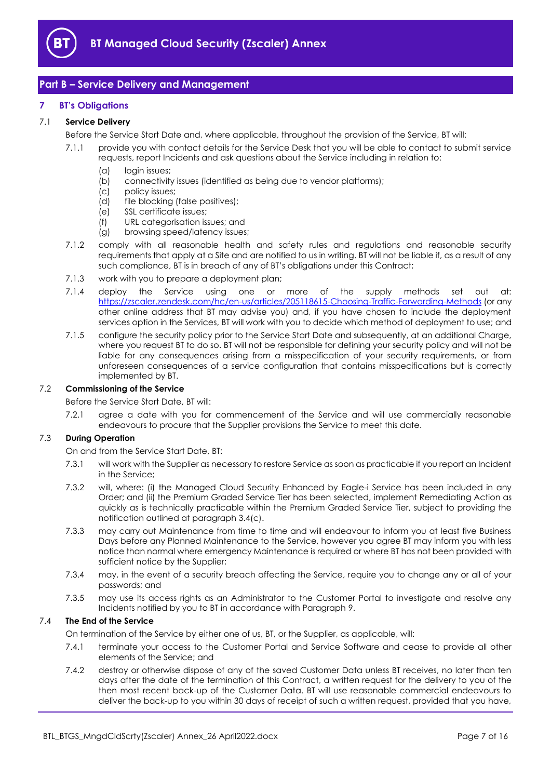

# <span id="page-6-0"></span>**Part B – Service Delivery and Management**

## <span id="page-6-1"></span>**7 BT's Obligations**

## 7.1 **Service Delivery**

Before the Service Start Date and, where applicable, throughout the provision of the Service, BT will:

- 7.1.1 provide you with contact details for the Service Desk that you will be able to contact to submit service requests, report Incidents and ask questions about the Service including in relation to:
	- (a) login issues;
	- (b) connectivity issues (identified as being due to vendor platforms);
	- (c) policy issues;
	- (d) file blocking (false positives);
	- (e) SSL certificate issues;
	- (f) URL categorisation issues; and
	- (g) browsing speed/latency issues;
- 7.1.2 comply with all reasonable health and safety rules and regulations and reasonable security requirements that apply at a Site and are notified to us in writing. BT will not be liable if, as a result of any such compliance, BT is in breach of any of BT's obligations under this Contract;
- 7.1.3 work with you to prepare a deployment plan;
- 7.1.4 deploy the Service using one or more of the supply methods set out at: <https://zscaler.zendesk.com/hc/en-us/articles/205118615-Choosing-Traffic-Forwarding-Methods> (or any other online address that BT may advise you) and, if you have chosen to include the deployment services option in the Services, BT will work with you to decide which method of deployment to use; and
- 7.1.5 configure the security policy prior to the Service Start Date and subsequently, at an additional Charge, where you request BT to do so. BT will not be responsible for defining your security policy and will not be liable for any consequences arising from a misspecification of your security requirements, or from unforeseen consequences of a service configuration that contains misspecifications but is correctly implemented by BT.

## 7.2 **Commissioning of the Service**

#### Before the Service Start Date, BT will:

7.2.1 agree a date with you for commencement of the Service and will use commercially reasonable endeavours to procure that the Supplier provisions the Service to meet this date.

## 7.3 **During Operation**

On and from the Service Start Date, BT:

- 7.3.1 will work with the Supplier as necessary to restore Service as soon as practicable if you report an Incident in the Service;
- 7.3.2 will, where: (i) the Managed Cloud Security Enhanced by Eagle-i Service has been included in any Order; and (ii) the Premium Graded Service Tier has been selected, implement Remediating Action as quickly as is technically practicable within the Premium Graded Service Tier, subject to providing the notification outlined at paragraph 3.[4\(c\).](#page-2-3)
- 7.3.3 may carry out Maintenance from time to time and will endeavour to inform you at least five Business Days before any Planned Maintenance to the Service, however you agree BT may inform you with less notice than normal where emergency Maintenance is required or where BT has not been provided with sufficient notice by the Supplier;
- 7.3.4 may, in the event of a security breach affecting the Service, require you to change any or all of your passwords; and
- 7.3.5 may use its access rights as an Administrator to the Customer Portal to investigate and resolve any Incidents notified by you to BT in accordance with Paragraph [9.](#page-9-0)

## 7.4 **The End of the Service**

On termination of the Service by either one of us, BT, or the Supplier, as applicable, will:

- 7.4.1 terminate your access to the Customer Portal and Service Software and cease to provide all other elements of the Service; and
- 7.4.2 destroy or otherwise dispose of any of the saved Customer Data unless BT receives, no later than ten days after the date of the termination of this Contract, a written request for the delivery to you of the then most recent back-up of the Customer Data. BT will use reasonable commercial endeavours to deliver the back-up to you within 30 days of receipt of such a written request, provided that you have,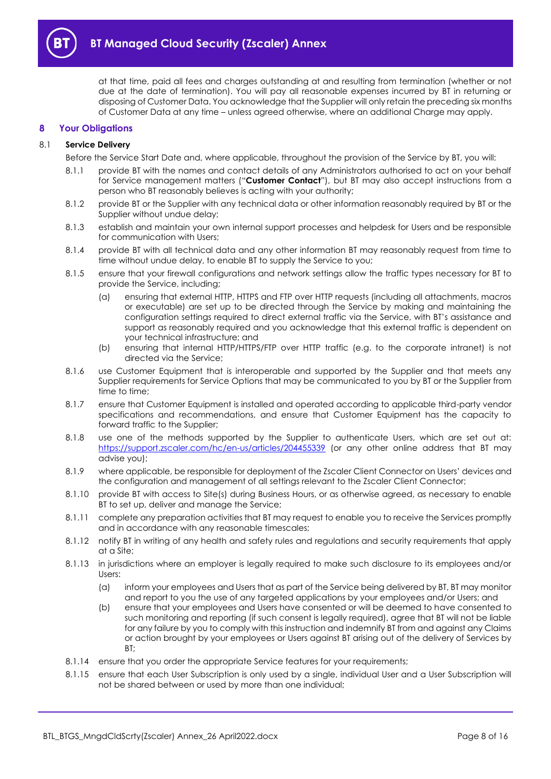

at that time, paid all fees and charges outstanding at and resulting from termination (whether or not due at the date of termination). You will pay all reasonable expenses incurred by BT in returning or disposing of Customer Data. You acknowledge that the Supplier will only retain the preceding six months of Customer Data at any time – unless agreed otherwise, where an additional Charge may apply.

## <span id="page-7-0"></span>**8 Your Obligations**

#### <span id="page-7-1"></span>8.1 **Service Delivery**

- Before the Service Start Date and, where applicable, throughout the provision of the Service by BT, you will:
- 8.1.1 provide BT with the names and contact details of any Administrators authorised to act on your behalf for Service management matters ("**Customer Contact**"), but BT may also accept instructions from a person who BT reasonably believes is acting with your authority;
- 8.1.2 provide BT or the Supplier with any technical data or other information reasonably required by BT or the Supplier without undue delay;
- 8.1.3 establish and maintain your own internal support processes and helpdesk for Users and be responsible for communication with Users;
- 8.1.4 provide BT with all technical data and any other information BT may reasonably request from time to time without undue delay, to enable BT to supply the Service to you;
- 8.1.5 ensure that your firewall configurations and network settings allow the traffic types necessary for BT to provide the Service, including;
	- (a) ensuring that external HTTP, HTTPS and FTP over HTTP requests (including all attachments, macros or executable) are set up to be directed through the Service by making and maintaining the configuration settings required to direct external traffic via the Service, with BT's assistance and support as reasonably required and you acknowledge that this external traffic is dependent on your technical infrastructure; and
	- (b) ensuring that internal HTTP/HTTPS/FTP over HTTP traffic (e.g. to the corporate intranet) is not directed via the Service;
- 8.1.6 use Customer Equipment that is interoperable and supported by the Supplier and that meets any Supplier requirements for Service Options that may be communicated to you by BT or the Supplier from time to time;
- 8.1.7 ensure that Customer Equipment is installed and operated according to applicable third-party vendor specifications and recommendations, and ensure that Customer Equipment has the capacity to forward traffic to the Supplier;
- 8.1.8 use one of the methods supported by the Supplier to authenticate Users, which are set out at: <https://support.zscaler.com/hc/en-us/articles/204455339> (or any other online address that BT may advise you);
- 8.1.9 where applicable, be responsible for deployment of the Zscaler Client Connector on Users' devices and the configuration and management of all settings relevant to the Zscaler Client Connector;
- 8.1.10 provide BT with access to Site(s) during Business Hours, or as otherwise agreed, as necessary to enable BT to set up, deliver and manage the Service;
- 8.1.11 complete any preparation activities that BT may request to enable you to receive the Services promptly and in accordance with any reasonable timescales;
- 8.1.12 notify BT in writing of any health and safety rules and regulations and security requirements that apply at a Site;
- 8.1.13 in jurisdictions where an employer is legally required to make such disclosure to its employees and/or Users:
	- (a) inform your employees and Users that as part of the Service being delivered by BT, BT may monitor and report to you the use of any targeted applications by your employees and/or Users; and
	- (b) ensure that your employees and Users have consented or will be deemed to have consented to such monitoring and reporting (if such consent is legally required), agree that BT will not be liable for any failure by you to comply with this instruction and indemnify BT from and against any Claims or action brought by your employees or Users against BT arising out of the delivery of Services by BT;
- 8.1.14 ensure that you order the appropriate Service features for your requirements;
- 8.1.15 ensure that each User Subscription is only used by a single, individual User and a User Subscription will not be shared between or used by more than one individual;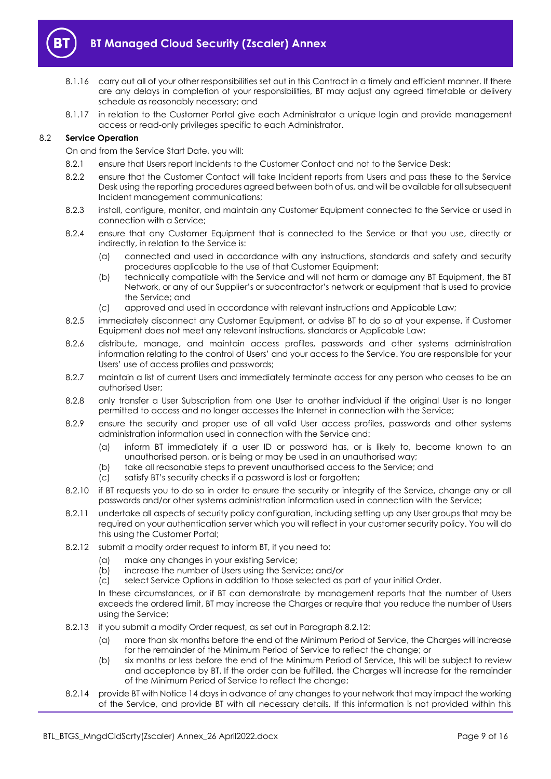

- 8.1.16 carry out all of your other responsibilities set out in this Contract in a timely and efficient manner. If there are any delays in completion of your responsibilities, BT may adjust any agreed timetable or delivery schedule as reasonably necessary; and
- 8.1.17 in relation to the Customer Portal give each Administrator a unique login and provide management access or read-only privileges specific to each Administrator.

## <span id="page-8-0"></span>8.2 **Service Operation**

On and from the Service Start Date, you will:

- 8.2.1 ensure that Users report Incidents to the Customer Contact and not to the Service Desk;
- 8.2.2 ensure that the Customer Contact will take Incident reports from Users and pass these to the Service Desk using the reporting procedures agreed between both of us, and will be available for all subsequent Incident management communications;
- 8.2.3 install, configure, monitor, and maintain any Customer Equipment connected to the Service or used in connection with a Service;
- 8.2.4 ensure that any Customer Equipment that is connected to the Service or that you use, directly or indirectly, in relation to the Service is:
	- (a) connected and used in accordance with any instructions, standards and safety and security procedures applicable to the use of that Customer Equipment;
	- (b) technically compatible with the Service and will not harm or damage any BT Equipment, the BT Network, or any of our Supplier's or subcontractor's network or equipment that is used to provide the Service; and
	- (c) approved and used in accordance with relevant instructions and Applicable Law;
- 8.2.5 immediately disconnect any Customer Equipment, or advise BT to do so at your expense, if Customer Equipment does not meet any relevant instructions, standards or Applicable Law;
- 8.2.6 distribute, manage, and maintain access profiles, passwords and other systems administration information relating to the control of Users' and your access to the Service. You are responsible for your Users' use of access profiles and passwords;
- 8.2.7 maintain a list of current Users and immediately terminate access for any person who ceases to be an authorised User;
- 8.2.8 only transfer a User Subscription from one User to another individual if the original User is no longer permitted to access and no longer accesses the Internet in connection with the Service;
- 8.2.9 ensure the security and proper use of all valid User access profiles, passwords and other systems administration information used in connection with the Service and:
	- (a) inform BT immediately if a user ID or password has, or is likely to, become known to an unauthorised person, or is being or may be used in an unauthorised way;
	- (b) take all reasonable steps to prevent unauthorised access to the Service; and
	- (c) satisfy BT's security checks if a password is lost or forgotten;
- 8.2.10 if BT requests you to do so in order to ensure the security or integrity of the Service, change any or all passwords and/or other systems administration information used in connection with the Service;
- 8.2.11 undertake all aspects of security policy configuration, including setting up any User groups that may be required on your authentication server which you will reflect in your customer security policy. You will do this using the Customer Portal;
- <span id="page-8-1"></span>8.2.12 submit a modify order request to inform BT, if you need to:
	- (a) make any changes in your existing Service;
	- (b) increase the number of Users using the Service; and/or
	- (c) select Service Options in addition to those selected as part of your initial Order.

In these circumstances, or if BT can demonstrate by management reports that the number of Users exceeds the ordered limit, BT may increase the Charges or require that you reduce the number of Users using the Service;

- 8.2.13 if you submit a modify Order request, as set out in Paragrap[h 8.2.12:](#page-8-1)
	- (a) more than six months before the end of the Minimum Period of Service, the Charges will increase for the remainder of the Minimum Period of Service to reflect the change; or
	- (b) six months or less before the end of the Minimum Period of Service, this will be subject to review and acceptance by BT. If the order can be fulfilled, the Charges will increase for the remainder of the Minimum Period of Service to reflect the change;
- 8.2.14 provide BT with Notice 14 days in advance of any changes to your network that may impact the working of the Service, and provide BT with all necessary details. If this information is not provided within this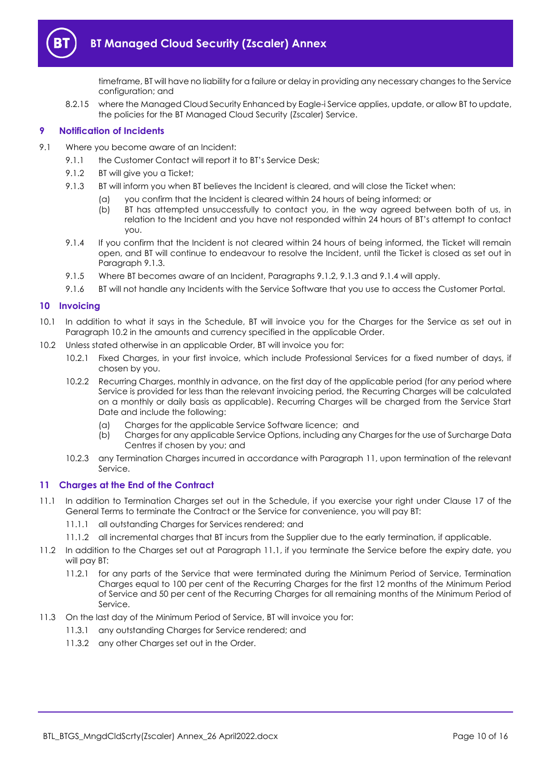

timeframe, BT will have no liability for a failure or delay in providing any necessary changes to the Service configuration; and

8.2.15 where the Managed Cloud Security Enhanced by Eagle-i Service applies, update, or allow BT to update, the policies for the BT Managed Cloud Security (Zscaler) Service.

## <span id="page-9-0"></span>**9 Notification of Incidents**

- <span id="page-9-4"></span><span id="page-9-3"></span>9.1 Where you become aware of an Incident:
	- 9.1.1 the Customer Contact will report it to BT's Service Desk;
	- 9.1.2 BT will give you a Ticket;
	- 9.1.3 BT will inform you when BT believes the Incident is cleared, and will close the Ticket when:
		- (a) you confirm that the Incident is cleared within 24 hours of being informed; or
		- (b) BT has attempted unsuccessfully to contact you, in the way agreed between both of us, in relation to the Incident and you have not responded within 24 hours of BT's attempt to contact you.
	- 9.1.4 If you confirm that the Incident is not cleared within 24 hours of being informed, the Ticket will remain open, and BT will continue to endeavour to resolve the Incident, until the Ticket is closed as set out in Paragrap[h 9.1.3.](#page-9-3)
	- 9.1.5 Where BT becomes aware of an Incident, Paragraph[s 9.1.2,](#page-9-4) [9.1.3](#page-9-3) an[d 9.1.4](#page-9-5) will apply.
	- 9.1.6 BT will not handle any Incidents with the Service Software that you use to access the Customer Portal.

## <span id="page-9-5"></span><span id="page-9-1"></span>**10 Invoicing**

- 10.1 In addition to what it says in the Schedule, BT will invoice you for the Charges for the Service as set out in Paragraph [10.2](#page-9-6) in the amounts and currency specified in the applicable Order.
- <span id="page-9-6"></span>10.2 Unless stated otherwise in an applicable Order, BT will invoice you for:
	- 10.2.1 Fixed Charges, in your first invoice, which include Professional Services for a fixed number of days, if chosen by you.
	- 10.2.2 Recurring Charges, monthly in advance, on the first day of the applicable period (for any period where Service is provided for less than the relevant invoicing period, the Recurring Charges will be calculated on a monthly or daily basis as applicable). Recurring Charges will be charged from the Service Start Date and include the following:
		- (a) Charges for the applicable Service Software licence; and
		- (b) Charges for any applicable Service Options, including any Charges for the use of Surcharge Data Centres if chosen by you; and
	- 10.2.3 any Termination Charges incurred in accordance with Paragraph [11,](#page-9-2) upon termination of the relevant Service.

## <span id="page-9-2"></span>**11 Charges at the End of the Contract**

- <span id="page-9-7"></span>11.1 In addition to Termination Charges set out in the Schedule, if you exercise your right under Clause 17 of the General Terms to terminate the Contract or the Service for convenience, you will pay BT:
	- 11.1.1 all outstanding Charges for Services rendered; and
	- 11.1.2 all incremental charges that BT incurs from the Supplier due to the early termination, if applicable.
- 11.2 In addition to the Charges set out at Paragraph [11.1,](#page-9-7) if you terminate the Service before the expiry date, you will pay BT:
	- 11.2.1 for any parts of the Service that were terminated during the Minimum Period of Service, Termination Charges equal to 100 per cent of the Recurring Charges for the first 12 months of the Minimum Period of Service and 50 per cent of the Recurring Charges for all remaining months of the Minimum Period of Service.
- 11.3 On the last day of the Minimum Period of Service, BT will invoice you for:
	- 11.3.1 any outstanding Charges for Service rendered; and
		- 11.3.2 any other Charges set out in the Order.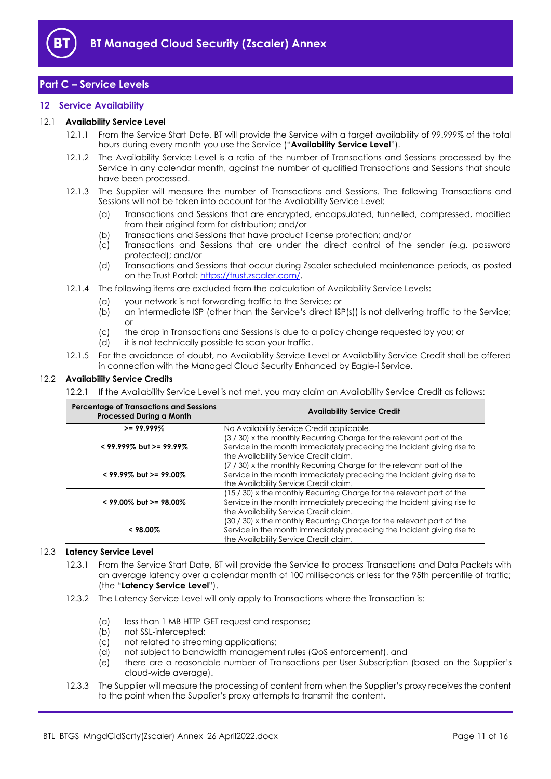

# <span id="page-10-0"></span>**Part C – Service Levels**

## <span id="page-10-1"></span>**12 Service Availability**

#### <span id="page-10-4"></span>12.1 **Availability Service Level**

- 12.1.1 From the Service Start Date, BT will provide the Service with a target availability of 99.999% of the total hours during every month you use the Service ("**Availability Service Level**").
- 12.1.2 The Availability Service Level is a ratio of the number of Transactions and Sessions processed by the Service in any calendar month, against the number of qualified Transactions and Sessions that should have been processed.
- 12.1.3 The Supplier will measure the number of Transactions and Sessions. The following Transactions and Sessions will not be taken into account for the Availability Service Level:
	- (a) Transactions and Sessions that are encrypted, encapsulated, tunnelled, compressed, modified from their original form for distribution; and/or
	- (b) Transactions and Sessions that have product license protection; and/or
	- (c) Transactions and Sessions that are under the direct control of the sender (e.g. password protected); and/or
	- (d) Transactions and Sessions that occur during Zscaler scheduled maintenance periods, as posted on the Trust Portal[: https://trust.zscaler.com/.](https://trust.zscaler.com/)
- 12.1.4 The following items are excluded from the calculation of Availability Service Levels:
	- (a) your network is not forwarding traffic to the Service; or
		- (b) an intermediate ISP (other than the Service's direct ISP(s)) is not delivering traffic to the Service; or
		- (c) the drop in Transactions and Sessions is due to a policy change requested by you; or
		- (d) it is not technically possible to scan your traffic.
- 12.1.5 For the avoidance of doubt, no Availability Service Level or Availability Service Credit shall be offered in connection with the Managed Cloud Security Enhanced by Eagle-i Service.

#### <span id="page-10-3"></span>12.2 **Availability Service Credits**

12.2.1 If the Availability Service Level is not met, you may claim an Availability Service Credit as follows:

| <b>Percentage of Transactions and Sessions</b><br><b>Processed During a Month</b> | <b>Availability Service Credit</b>                                                                                                                                                        |
|-----------------------------------------------------------------------------------|-------------------------------------------------------------------------------------------------------------------------------------------------------------------------------------------|
| $>= 99.999%$                                                                      | No Availability Service Credit applicable.                                                                                                                                                |
| $<$ 99.999% but >= 99.99%                                                         | (3/30) x the monthly Recurring Charge for the relevant part of the<br>Service in the month immediately preceding the Incident giving rise to<br>the Availability Service Credit claim.    |
| $<$ 99.99% but >= 99.00%                                                          | (7) (30) x the monthly Recurring Charge for the relevant part of the<br>Service in the month immediately preceding the Incident giving rise to<br>the Availability Service Credit claim.  |
| $<$ 99.00% but >= 98.00%                                                          | (15 / 30) x the monthly Recurring Charge for the relevant part of the<br>Service in the month immediately preceding the Incident giving rise to<br>the Availability Service Credit claim. |
| $< 98.00\%$                                                                       | (30 / 30) x the monthly Recurring Charge for the relevant part of the<br>Service in the month immediately preceding the Incident giving rise to<br>the Availability Service Credit claim. |

## <span id="page-10-5"></span><span id="page-10-2"></span>12.3 **Latency Service Level**

- 12.3.1 From the Service Start Date, BT will provide the Service to process Transactions and Data Packets with an average latency over a calendar month of 100 milliseconds or less for the 95th percentile of traffic; (the "**Latency Service Level**").
- 12.3.2 The Latency Service Level will only apply to Transactions where the Transaction is:
	- (a) less than 1 MB HTTP GET request and response;
	- (b) not SSL-intercepted;
	- (c) not related to streaming applications;
	- (d) not subject to bandwidth management rules (QoS enforcement), and
	- (e) there are a reasonable number of Transactions per User Subscription (based on the Supplier's cloud-wide average).
- 12.3.3 The Supplier will measure the processing of content from when the Supplier's proxy receives the content to the point when the Supplier's proxy attempts to transmit the content.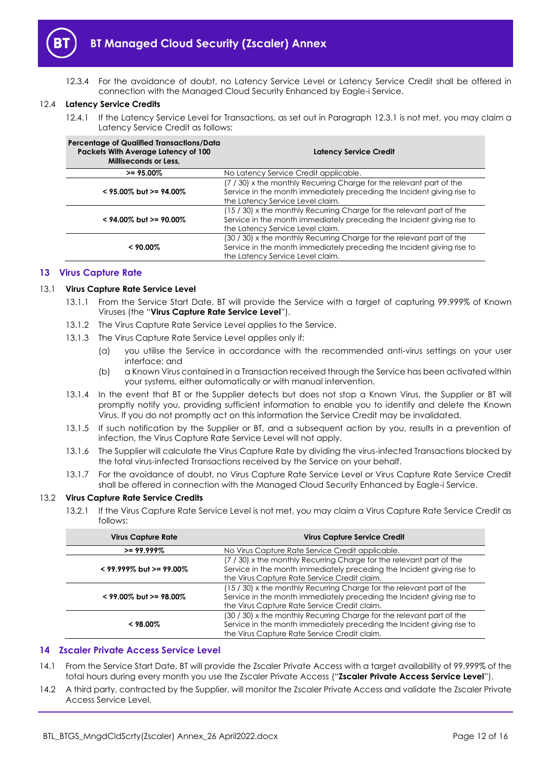

12.3.4 For the avoidance of doubt, no Latency Service Level or Latency Service Credit shall be offered in connection with the Managed Cloud Security Enhanced by Eagle-i Service.

#### <span id="page-11-2"></span>12.4 **Latency Service Credits**

12.4.1 If the Latency Service Level for Transactions, as set out in Paragraph [12.3.1](#page-10-2) is not met, you may claim a Latency Service Credit as follows:

| Percentage of Qualified Transactions/Data<br>Packets With Average Latency of 100<br>Milliseconds or Less, | <b>Latency Service Credit</b>                                                                                                                                                       |
|-----------------------------------------------------------------------------------------------------------|-------------------------------------------------------------------------------------------------------------------------------------------------------------------------------------|
| $>= 95.00\%$                                                                                              | No Latency Service Credit applicable.                                                                                                                                               |
| $<$ 95.00% but >= 94.00%                                                                                  | (7) (30) x the monthly Recurring Charge for the relevant part of the<br>Service in the month immediately preceding the Incident giving rise to<br>the Latency Service Level claim.  |
| $<$ 94.00% but >= 90.00%                                                                                  | (15 / 30) x the monthly Recurring Charge for the relevant part of the<br>Service in the month immediately preceding the Incident giving rise to<br>the Latency Service Level claim. |
| $< 90.00\%$                                                                                               | (30 / 30) x the monthly Recurring Charge for the relevant part of the<br>Service in the month immediately preceding the Incident giving rise to<br>the Latency Service Level claim. |

#### <span id="page-11-0"></span>**13 Virus Capture Rate**

#### <span id="page-11-4"></span>13.1 **Virus Capture Rate Service Level**

- 13.1.1 From the Service Start Date, BT will provide the Service with a target of capturing 99.999% of Known Viruses (the "**Virus Capture Rate Service Level**").
- 13.1.2 The Virus Capture Rate Service Level applies to the Service.
- 13.1.3 The Virus Capture Rate Service Level applies only if:
	- (a) you utilise the Service in accordance with the recommended anti-virus settings on your user interface; and
	- (b) a Known Virus contained in a Transaction received through the Service has been activated within your systems, either automatically or with manual intervention.
- 13.1.4 In the event that BT or the Supplier detects but does not stop a Known Virus, the Supplier or BT will promptly notify you, providing sufficient information to enable you to identify and delete the Known Virus. If you do not promptly act on this information the Service Credit may be invalidated.
- 13.1.5 If such notification by the Supplier or BT, and a subsequent action by you, results in a prevention of infection, the Virus Capture Rate Service Level will not apply.
- 13.1.6 The Supplier will calculate the Virus Capture Rate by dividing the virus-infected Transactions blocked by the total virus-infected Transactions received by the Service on your behalf.
- 13.1.7 For the avoidance of doubt, no Virus Capture Rate Service Level or Virus Capture Rate Service Credit shall be offered in connection with the Managed Cloud Security Enhanced by Eagle-i Service.

#### <span id="page-11-3"></span>13.2 **Virus Capture Rate Service Credits**

13.2.1 If the Virus Capture Rate Service Level is not met, you may claim a Virus Capture Rate Service Credit as follows:

| <b>Virus Capture Rate</b> | <b>Virus Capture Service Credit</b>                                                                                                                                                             |
|---------------------------|-------------------------------------------------------------------------------------------------------------------------------------------------------------------------------------------------|
| $>= 99.999\%$             | No Virus Capture Rate Service Credit applicable.                                                                                                                                                |
| $<$ 99.999% but >= 99.00% | (7 / 30) x the monthly Recurring Charge for the relevant part of the<br>Service in the month immediately preceding the Incident giving rise to<br>the Virus Capture Rate Service Credit claim.  |
| $<$ 99.00% but >= 98.00%  | (15 / 30) x the monthly Recurring Charge for the relevant part of the<br>Service in the month immediately preceding the Incident giving rise to<br>the Virus Capture Rate Service Credit claim. |
| $< 98.00\%$               | (30 / 30) x the monthly Recurring Charge for the relevant part of the<br>Service in the month immediately preceding the Incident giving rise to<br>the Virus Capture Rate Service Credit claim. |

#### <span id="page-11-1"></span>**14 Zscaler Private Access Service Level**

- <span id="page-11-5"></span>14.1 From the Service Start Date, BT will provide the Zscaler Private Access with a target availability of 99.999% of the total hours during every month you use the Zscaler Private Access ("**Zscaler Private Access Service Level**").
- 14.2 A third party, contracted by the Supplier, will monitor the Zscaler Private Access and validate the Zscaler Private Access Service Level.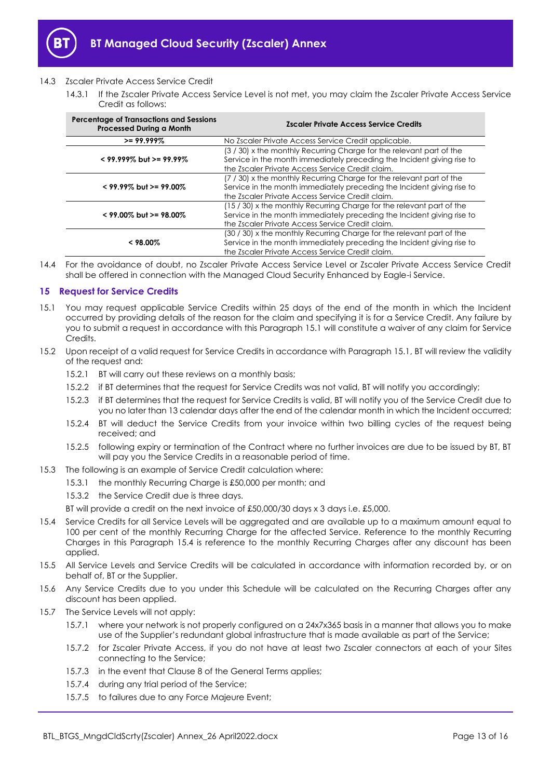

## <span id="page-12-3"></span>14.3 Zscaler Private Access Service Credit

14.3.1 If the Zscaler Private Access Service Level is not met, you may claim the Zscaler Private Access Service Credit as follows:

| <b>Percentage of Transactions and Sessions</b><br><b>Processed During a Month</b> | <b>Zscaler Private Access Service Credits</b>                                                                                                                                                       |
|-----------------------------------------------------------------------------------|-----------------------------------------------------------------------------------------------------------------------------------------------------------------------------------------------------|
| $>= 99.999\%$                                                                     | No Zscaler Private Access Service Credit applicable.                                                                                                                                                |
| $<$ 99.999% but >= 99.99%                                                         | (3/30) x the monthly Recurring Charge for the relevant part of the<br>Service in the month immediately preceding the Incident giving rise to<br>the Zscaler Private Access Service Credit claim.    |
| $<$ 99.99% but >= 99.00%                                                          | (7 / 30) x the monthly Recurring Charge for the relevant part of the<br>Service in the month immediately preceding the Incident giving rise to<br>the Zscaler Private Access Service Credit claim.  |
| $<$ 99.00% but >= 98.00%                                                          | (15 / 30) x the monthly Recurring Charge for the relevant part of the<br>Service in the month immediately preceding the Incident giving rise to<br>the Zscaler Private Access Service Credit claim. |
| $< 98.00\%$                                                                       | (30 / 30) x the monthly Recurring Charge for the relevant part of the<br>Service in the month immediately preceding the Incident giving rise to<br>the Zscaler Private Access Service Credit claim. |

14.4 For the avoidance of doubt, no Zscaler Private Access Service Level or Zscaler Private Access Service Credit shall be offered in connection with the Managed Cloud Security Enhanced by Eagle-i Service.

## <span id="page-12-0"></span>**15 Request for Service Credits**

- <span id="page-12-1"></span>15.1 You may request applicable Service Credits within 25 days of the end of the month in which the Incident occurred by providing details of the reason for the claim and specifying it is for a Service Credit. Any failure by you to submit a request in accordance with this Paragraph [15.1](#page-12-1) will constitute a waiver of any claim for Service Credits.
- 15.2 Upon receipt of a valid request for Service Credits in accordance with Paragrap[h 15.1,](#page-12-1) BT will review the validity of the request and:
	- 15.2.1 BT will carry out these reviews on a monthly basis;
	- 15.2.2 if BT determines that the request for Service Credits was not valid, BT will notify you accordingly;
	- 15.2.3 if BT determines that the request for Service Credits is valid, BT will notify you of the Service Credit due to you no later than 13 calendar days after the end of the calendar month in which the Incident occurred;
	- 15.2.4 BT will deduct the Service Credits from your invoice within two billing cycles of the request being received; and
	- 15.2.5 following expiry or termination of the Contract where no further invoices are due to be issued by BT, BT will pay you the Service Credits in a reasonable period of time.
- 15.3 The following is an example of Service Credit calculation where:
	- 15.3.1 the monthly Recurring Charge is £50,000 per month; and
		- 15.3.2 the Service Credit due is three days.

BT will provide a credit on the next invoice of £50,000/30 days x 3 days i.e. £5,000.

- <span id="page-12-2"></span>15.4 Service Credits for all Service Levels will be aggregated and are available up to a maximum amount equal to 100 per cent of the monthly Recurring Charge for the affected Service. Reference to the monthly Recurring Charges in this Paragraph [15.4](#page-12-2) is reference to the monthly Recurring Charges after any discount has been applied.
- 15.5 All Service Levels and Service Credits will be calculated in accordance with information recorded by, or on behalf of, BT or the Supplier.
- 15.6 Any Service Credits due to you under this Schedule will be calculated on the Recurring Charges after any discount has been applied.
- 15.7 The Service Levels will not apply:
	- 15.7.1 where your network is not properly configured on a 24x7x365 basis in a manner that allows you to make use of the Supplier's redundant global infrastructure that is made available as part of the Service;
	- 15.7.2 for Zscaler Private Access, if you do not have at least two Zscaler connectors at each of your Sites connecting to the Service;
	- 15.7.3 in the event that Clause 8 of the General Terms applies;
	- 15.7.4 during any trial period of the Service;
	- 15.7.5 to failures due to any Force Majeure Event;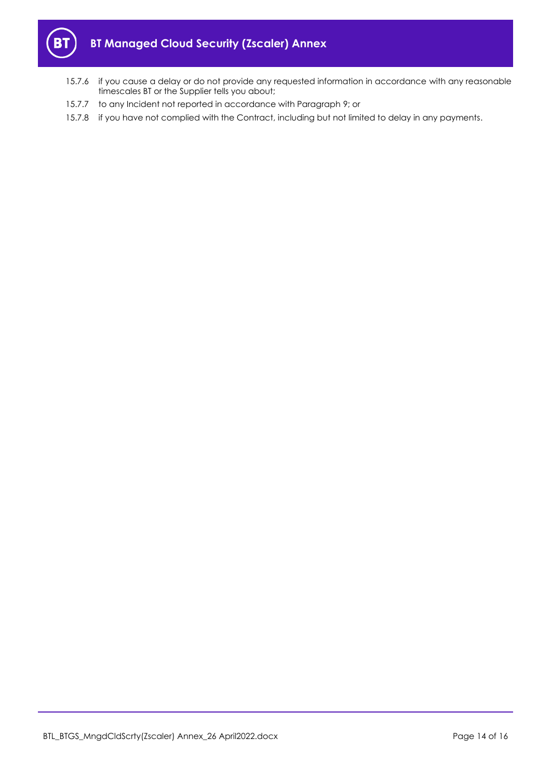

- 15.7.6 if you cause a delay or do not provide any requested information in accordance with any reasonable timescales BT or the Supplier tells you about;
- 15.7.7 to any Incident not reported in accordance with Paragrap[h 9;](#page-9-0) or
- 15.7.8 if you have not complied with the Contract, including but not limited to delay in any payments.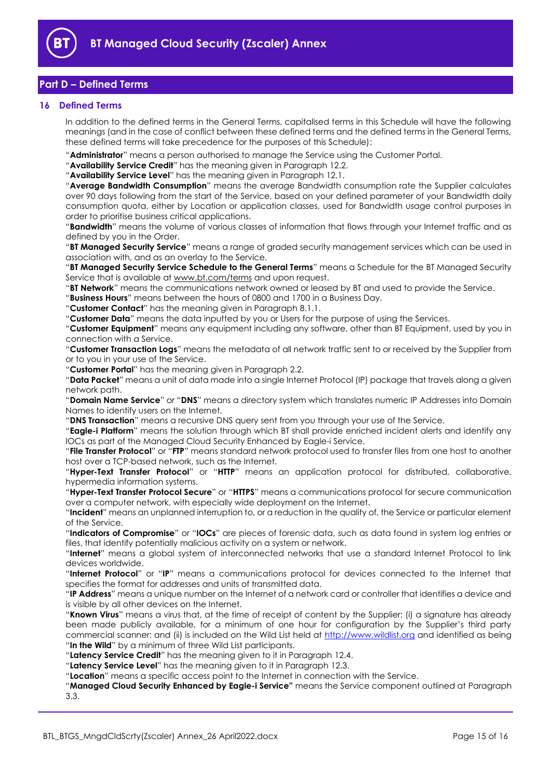

# <span id="page-14-0"></span>**Part D – Defined Terms**

## <span id="page-14-1"></span>**16 Defined Terms**

In addition to the defined terms in the General Terms, capitalised terms in this Schedule will have the following meanings (and in the case of conflict between these defined terms and the defined terms in the General Terms, these defined terms will take precedence for the purposes of this Schedule):

"**Administrator**" means a person authorised to manage the Service using the Customer Portal.

"**Availability Service Credit**" has the meaning given in Paragraph [12.2.](#page-10-3)

"**Availability Service Level**" has the meaning given in Paragraph [12.1.](#page-10-4)

"**Average Bandwidth Consumption**" means the average Bandwidth consumption rate the Supplier calculates over 90 days following from the start of the Service, based on your defined parameter of your Bandwidth daily consumption quota, either by Location or application classes, used for Bandwidth usage control purposes in order to prioritise business critical applications.

"**Bandwidth**" means the volume of various classes of information that flows through your Internet traffic and as defined by you in the Order.

"**BT Managed Security Service**" means a range of graded security management services which can be used in association with, and as an overlay to the Service.

"**BT Managed Security Service Schedule to the General Terms**" means a Schedule for the BT Managed Security Service that is available at [www.bt.com/terms](http://www.bt.com/terms) and upon request.

"**BT Network**" means the communications network owned or leased by BT and used to provide the Service.

"**Business Hours**" means between the hours of 0800 and 1700 in a Business Day.

"**Customer Contact**" has the meaning given in Paragraph [8.1.1.](#page-7-1)

"**Customer Data**" means the data inputted by you or Users for the purpose of using the Services.

"**Customer Equipment**" means any equipment including any software, other than BT Equipment, used by you in connection with a Service.

"**Customer Transaction Logs**" means the metadata of all network traffic sent to or received by the Supplier from or to you in your use of the Service.

"**Customer Portal**" has the meaning given in Paragraph [2.2.](#page-1-6)

"**Data Packet**" means a unit of data made into a single Internet Protocol (IP) package that travels along a given network path.

"**Domain Name Service**" or "**DNS**" means a directory system which translates numeric IP Addresses into Domain Names to identify users on the Internet.

"**DNS Transaction**" means a recursive DNS query sent from you through your use of the Service.

"**Eagle-i Platform**" means the solution through which BT shall provide enriched incident alerts and identify any IOCs as part of the Managed Cloud Security Enhanced by Eagle-i Service.

"**File Transfer Protocol**" or "**FTP**" means standard network protocol used to transfer files from one host to another host over a TCP-based network, such as the Internet.

"**Hyper-Text Transfer Protocol**" or "**HTTP**" means an application protocol for distributed, collaborative, hypermedia information systems.

"**Hyper-Text Transfer Protocol Secure**" or "**HTTPS**" means a communications protocol for secure communication over a computer network, with especially wide deployment on the Internet.

"**Incident**" means an unplanned interruption to, or a reduction in the quality of, the Service or particular element of the Service.

"**Indicators of Compromise**" or "**IOCs**" are pieces of forensic data, such as data found in system log entries or files, that identify potentially malicious activity on a system or network.

"**Internet**" means a global system of interconnected networks that use a standard Internet Protocol to link devices worldwide.

"**Internet Protocol**" or "**IP**" means a communications protocol for devices connected to the Internet that specifies the format for addresses and units of transmitted data.

"**IP Address**" means a unique number on the Internet of a network card or controller that identifies a device and is visible by all other devices on the Internet.

"**Known Virus**" means a virus that, at the time of receipt of content by the Supplier: (i) a signature has already been made publicly available, for a minimum of one hour for configuration by the Supplier's third party commercial scanner; and (ii) is included on the Wild List held at [http://www.wildlist.org](http://www.wildlist.org/) and identified as being "**In the Wild**" by a minimum of three Wild List participants.

"**Latency Service Credit**" has the meaning given to it in Paragraph [12.4.](#page-11-2)

"**Latency Service Level**" has the meaning given to it in Paragrap[h 12.3.](#page-10-5)

"**Location**" means a specific access point to the Internet in connection with the Service.

"**Managed Cloud Security Enhanced by Eagle-i Service"** means the Service component outlined at Paragraph [3.3.](#page-1-8)